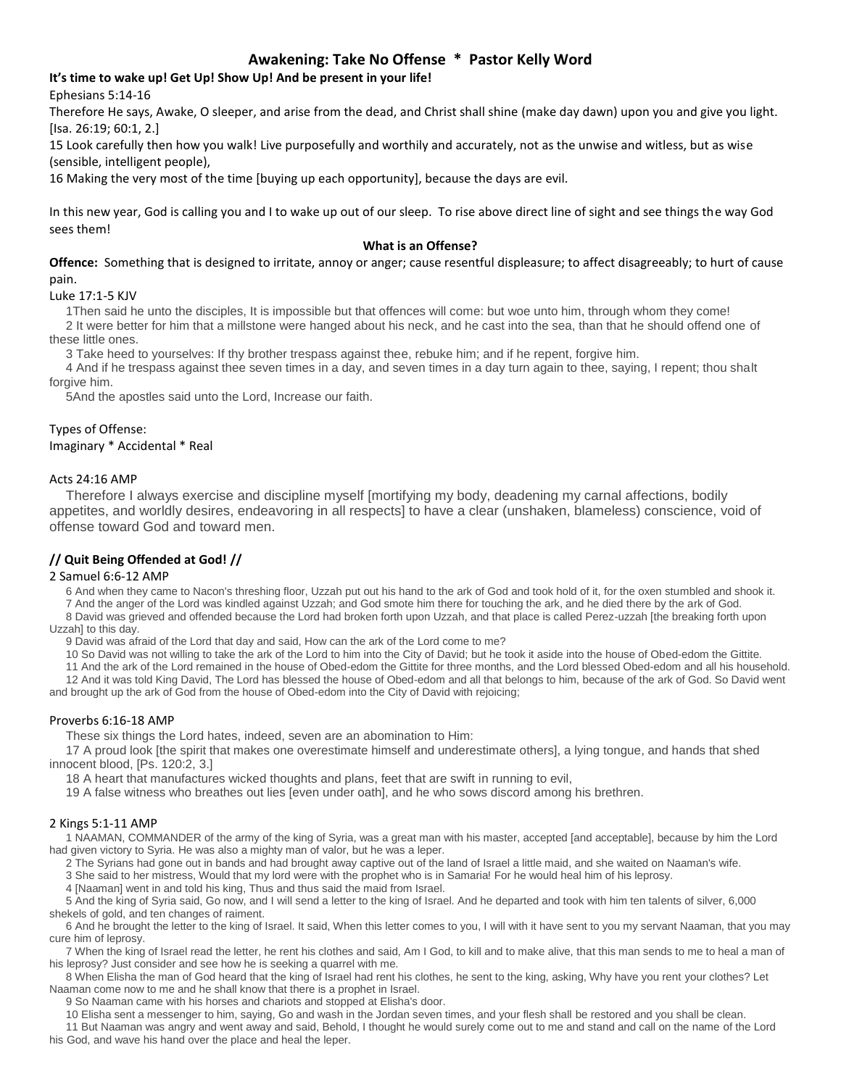## **Awakening: Take No Offense \* Pastor Kelly Word**

### **It's time to wake up! Get Up! Show Up! And be present in your life!**

Ephesians 5:14-16

Therefore He says, Awake, O sleeper, and arise from the dead, and Christ shall shine (make day dawn) upon you and give you light. [Isa. 26:19; 60:1, 2.]

15 Look carefully then how you walk! Live purposefully and worthily and accurately, not as the unwise and witless, but as wise (sensible, intelligent people),

16 Making the very most of the time [buying up each opportunity], because the days are evil.

In this new year, God is calling you and I to wake up out of our sleep. To rise above direct line of sight and see things the way God sees them!

#### **What is an Offense?**

**Offence:** Something that is designed to irritate, annoy or anger; cause resentful displeasure; to affect disagreeably; to hurt of cause pain.

#### Luke 17:1-5 KJV

1Then said he unto the disciples, It is impossible but that offences will come: but woe unto him, through whom they come!

2 It were better for him that a millstone were hanged about his neck, and he cast into the sea, than that he should offend one of these little ones.

3 Take heed to yourselves: If thy brother trespass against thee, rebuke him; and if he repent, forgive him.

4 And if he trespass against thee seven times in a day, and seven times in a day turn again to thee, saying, I repent; thou shalt forgive him.

5And the apostles said unto the Lord, Increase our faith.

### Types of Offense:

Imaginary \* Accidental \* Real

#### Acts 24:16 AMP

Therefore I always exercise and discipline myself [mortifying my body, deadening my carnal affections, bodily appetites, and worldly desires, endeavoring in all respects] to have a clear (unshaken, blameless) conscience, void of offense toward God and toward men.

### **// Quit Being Offended at God! //**

### 2 Samuel 6:6-12 AMP

6 And when they came to Nacon's threshing floor, Uzzah put out his hand to the ark of God and took hold of it, for the oxen stumbled and shook it. 7 And the anger of the Lord was kindled against Uzzah; and God smote him there for touching the ark, and he died there by the ark of God.

8 David was grieved and offended because the Lord had broken forth upon Uzzah, and that place is called Perez-uzzah [the breaking forth upon Uzzah] to this day.

9 David was afraid of the Lord that day and said, How can the ark of the Lord come to me?

10 So David was not willing to take the ark of the Lord to him into the City of David; but he took it aside into the house of Obed-edom the Gittite.

11 And the ark of the Lord remained in the house of Obed-edom the Gittite for three months, and the Lord blessed Obed-edom and all his household.

12 And it was told King David, The Lord has blessed the house of Obed-edom and all that belongs to him, because of the ark of God. So David went and brought up the ark of God from the house of Obed-edom into the City of David with rejoicing;

### Proverbs 6:16-18 AMP

These six things the Lord hates, indeed, seven are an abomination to Him:

17 A proud look [the spirit that makes one overestimate himself and underestimate others], a lying tongue, and hands that shed innocent blood, [Ps. 120:2, 3.]

18 A heart that manufactures wicked thoughts and plans, feet that are swift in running to evil,

19 A false witness who breathes out lies [even under oath], and he who sows discord among his brethren.

### 2 Kings 5:1-11 AMP

1 NAAMAN, COMMANDER of the army of the king of Syria, was a great man with his master, accepted [and acceptable], because by him the Lord had given victory to Syria. He was also a mighty man of valor, but he was a leper.

2 The Syrians had gone out in bands and had brought away captive out of the land of Israel a little maid, and she waited on Naaman's wife.

3 She said to her mistress, Would that my lord were with the prophet who is in Samaria! For he would heal him of his leprosy.

4 [Naaman] went in and told his king, Thus and thus said the maid from Israel.

5 And the king of Syria said, Go now, and I will send a letter to the king of Israel. And he departed and took with him ten talents of silver, 6,000 shekels of gold, and ten changes of raiment.

6 And he brought the letter to the king of Israel. It said, When this letter comes to you, I will with it have sent to you my servant Naaman, that you may cure him of leprosy.

7 When the king of Israel read the letter, he rent his clothes and said, Am I God, to kill and to make alive, that this man sends to me to heal a man of his leprosy? Just consider and see how he is seeking a quarrel with me.

8 When Elisha the man of God heard that the king of Israel had rent his clothes, he sent to the king, asking, Why have you rent your clothes? Let Naaman come now to me and he shall know that there is a prophet in Israel.

9 So Naaman came with his horses and chariots and stopped at Elisha's door.

10 Elisha sent a messenger to him, saying, Go and wash in the Jordan seven times, and your flesh shall be restored and you shall be clean.

11 But Naaman was angry and went away and said, Behold, I thought he would surely come out to me and stand and call on the name of the Lord his God, and wave his hand over the place and heal the leper.